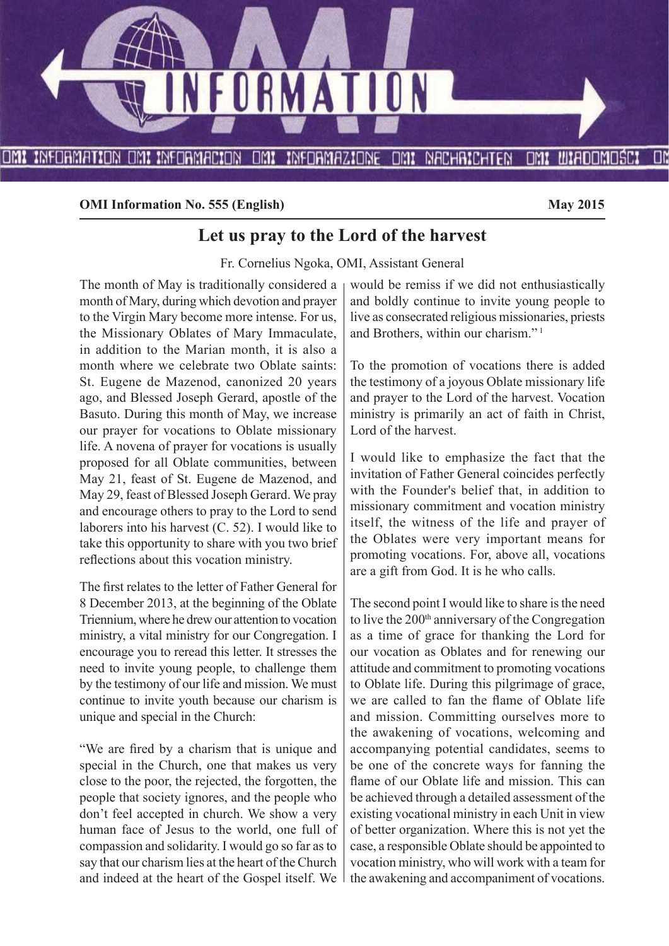

**OMI Information No. 555 (English)** May 2015

## **Let us pray to the Lord of the harvest**

Fr. Cornelius Ngoka, OMI, Assistant General

The month of May is traditionally considered a month of Mary, during which devotion and prayer to the Virgin Mary become more intense. For us, the Missionary Oblates of Mary Immaculate, in addition to the Marian month, it is also a month where we celebrate two Oblate saints: St. Eugene de Mazenod, canonized 20 years ago, and Blessed Joseph Gerard, apostle of the Basuto. During this month of May, we increase our prayer for vocations to Oblate missionary life. A novena of prayer for vocations is usually proposed for all Oblate communities, between May 21, feast of St. Eugene de Mazenod, and May 29, feast of Blessed Joseph Gerard. We pray and encourage others to pray to the Lord to send laborers into his harvest (C. 52). I would like to take this opportunity to share with you two brief reflections about this vocation ministry.

The first relates to the letter of Father General for 8 December 2013, at the beginning of the Oblate Triennium, where he drew our attention to vocation ministry, a vital ministry for our Congregation. I encourage you to reread this letter. It stresses the need to invite young people, to challenge them by the testimony of our life and mission. We must continue to invite youth because our charism is unique and special in the Church:

"We are fired by a charism that is unique and special in the Church, one that makes us very close to the poor, the rejected, the forgotten, the people that society ignores, and the people who don't feel accepted in church. We show a very human face of Jesus to the world, one full of compassion and solidarity. I would go so far as to say that our charism lies at the heart of the Church and indeed at the heart of the Gospel itself. We would be remiss if we did not enthusiastically and boldly continue to invite young people to live as consecrated religious missionaries, priests and Brothers, within our charism." 1

To the promotion of vocations there is added the testimony of a joyous Oblate missionary life and prayer to the Lord of the harvest. Vocation ministry is primarily an act of faith in Christ, Lord of the harvest.

I would like to emphasize the fact that the invitation of Father General coincides perfectly with the Founder's belief that, in addition to missionary commitment and vocation ministry itself, the witness of the life and prayer of the Oblates were very important means for promoting vocations. For, above all, vocations are a gift from God. It is he who calls.

The second point I would like to share is the need to live the 200<sup>th</sup> anniversary of the Congregation as a time of grace for thanking the Lord for our vocation as Oblates and for renewing our attitude and commitment to promoting vocations to Oblate life. During this pilgrimage of grace, we are called to fan the flame of Oblate life and mission. Committing ourselves more to the awakening of vocations, welcoming and accompanying potential candidates, seems to be one of the concrete ways for fanning the flame of our Oblate life and mission. This can be achieved through a detailed assessment of the existing vocational ministry in each Unit in view of better organization. Where this is not yet the case, a responsible Oblate should be appointed to vocation ministry, who will work with a team for the awakening and accompaniment of vocations.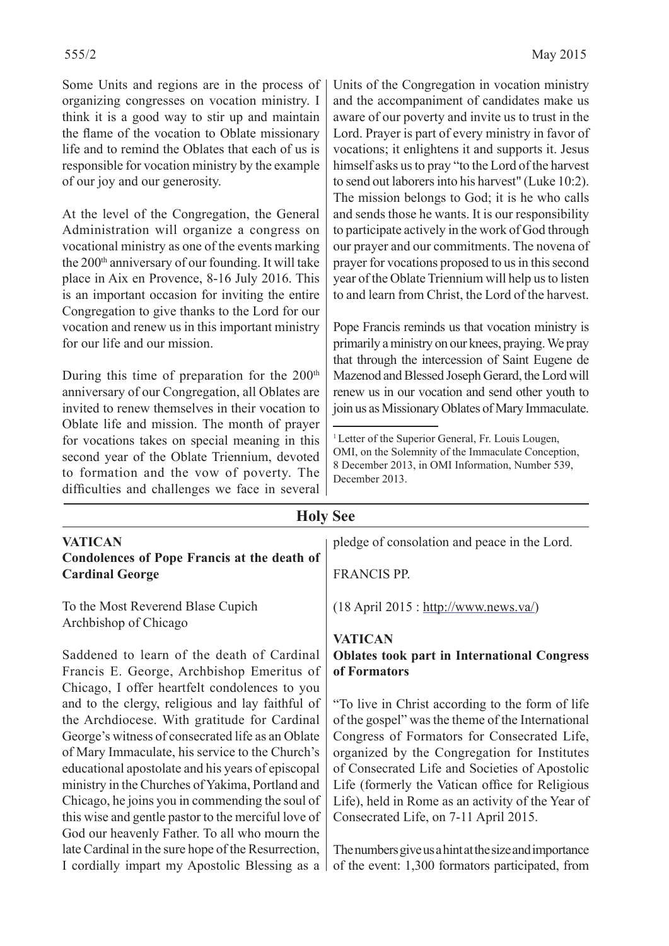Some Units and regions are in the process of organizing congresses on vocation ministry. I think it is a good way to stir up and maintain the flame of the vocation to Oblate missionary life and to remind the Oblates that each of us is responsible for vocation ministry by the example of our joy and our generosity.

At the level of the Congregation, the General Administration will organize a congress on vocational ministry as one of the events marking the 200<sup>th</sup> anniversary of our founding. It will take place in Aix en Provence, 8-16 July 2016. This is an important occasion for inviting the entire Congregation to give thanks to the Lord for our vocation and renew us in this important ministry for our life and our mission.

During this time of preparation for the  $200<sup>th</sup>$ anniversary of our Congregation, all Oblates are invited to renew themselves in their vocation to Oblate life and mission. The month of prayer for vocations takes on special meaning in this second year of the Oblate Triennium, devoted to formation and the vow of poverty. The difficulties and challenges we face in several Units of the Congregation in vocation ministry and the accompaniment of candidates make us aware of our poverty and invite us to trust in the Lord. Prayer is part of every ministry in favor of vocations; it enlightens it and supports it. Jesus himself asks us to pray "to the Lord of the harvest to send out laborers into his harvest" (Luke 10:2). The mission belongs to God; it is he who calls and sends those he wants. It is our responsibility to participate actively in the work of God through our prayer and our commitments. The novena of prayer for vocations proposed to us in this second year of the Oblate Triennium will help us to listen to and learn from Christ, the Lord of the harvest.

Pope Francis reminds us that vocation ministry is primarily a ministry on our knees, praying. We pray that through the intercession of Saint Eugene de Mazenod and Blessed Joseph Gerard, the Lord will renew us in our vocation and send other youth to join us as Missionary Oblates of Mary Immaculate.

<sup>&</sup>lt;sup>1</sup> Letter of the Superior General, Fr. Louis Lougen, OMI, on the Solemnity of the Immaculate Conception, 8 December 2013, in OMI Information, Number 539, December 2013.

| <b>Holy See</b>                                     |                                                       |  |  |  |  |
|-----------------------------------------------------|-------------------------------------------------------|--|--|--|--|
| <b>VATICAN</b>                                      | pledge of consolation and peace in the Lord.          |  |  |  |  |
| <b>Condolences of Pope Francis at the death of</b>  |                                                       |  |  |  |  |
| <b>Cardinal George</b>                              | <b>FRANCIS PP.</b>                                    |  |  |  |  |
| To the Most Reverend Blase Cupich                   | $(18$ April 2015 : http://www.news.va/)               |  |  |  |  |
| Archbishop of Chicago                               |                                                       |  |  |  |  |
|                                                     | <b>VATICAN</b>                                        |  |  |  |  |
| Saddened to learn of the death of Cardinal          | <b>Oblates took part in International Congress</b>    |  |  |  |  |
| Francis E. George, Archbishop Emeritus of           | of Formators                                          |  |  |  |  |
| Chicago, I offer heartfelt condolences to you       |                                                       |  |  |  |  |
| and to the clergy, religious and lay faithful of    | "To live in Christ according to the form of life"     |  |  |  |  |
| the Archdiocese. With gratitude for Cardinal        | of the gospel" was the theme of the International     |  |  |  |  |
| George's witness of consecrated life as an Oblate   | Congress of Formators for Consecrated Life,           |  |  |  |  |
| of Mary Immaculate, his service to the Church's     | organized by the Congregation for Institutes          |  |  |  |  |
| educational apostolate and his years of episcopal   | of Consecrated Life and Societies of Apostolic        |  |  |  |  |
| ministry in the Churches of Yakima, Portland and    | Life (formerly the Vatican office for Religious       |  |  |  |  |
| Chicago, he joins you in commending the soul of     | Life), held in Rome as an activity of the Year of     |  |  |  |  |
| this wise and gentle pastor to the merciful love of | Consecrated Life, on 7-11 April 2015.                 |  |  |  |  |
| God our heavenly Father. To all who mourn the       |                                                       |  |  |  |  |
| late Cardinal in the sure hope of the Resurrection, | The numbers give us a hint at the size and importance |  |  |  |  |
| I cordially impart my Apostolic Blessing as a       | of the event: 1,300 formators participated, from      |  |  |  |  |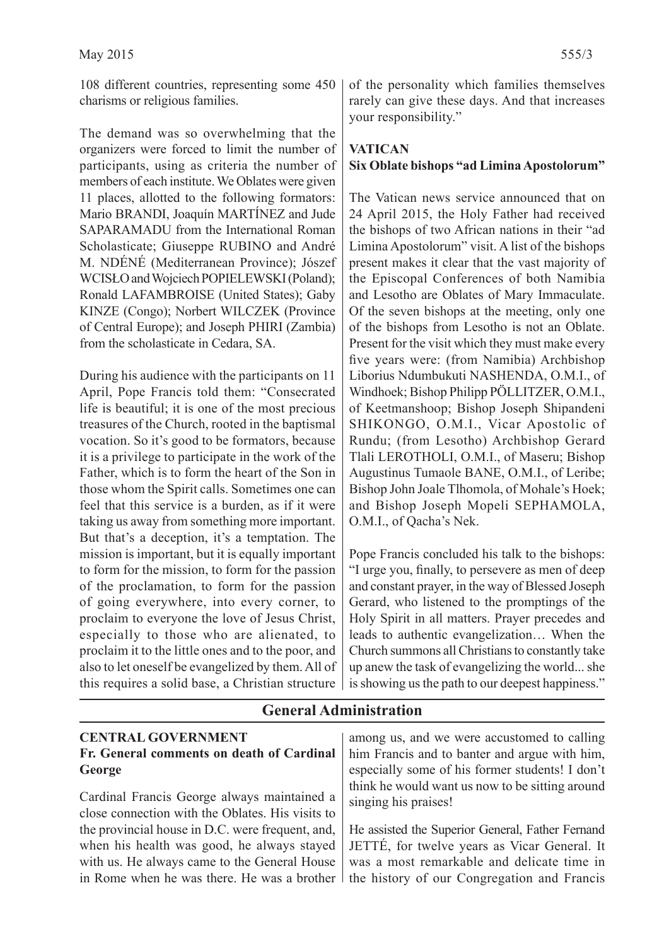108 different countries, representing some 450 charisms or religious families.

The demand was so overwhelming that the organizers were forced to limit the number of participants, using as criteria the number of members of each institute. We Oblates were given 11 places, allotted to the following formators: Mario BRANDI, Joaquín MARTÍNEZ and Jude SAPARAMADU from the International Roman Scholasticate; Giuseppe RUBINO and André M. NDÉNÉ (Mediterranean Province); Jószef WCISŁO and Wojciech POPIELEWSKI (Poland); Ronald LAFAMBROISE (United States); Gaby KINZE (Congo); Norbert WILCZEK (Province of Central Europe); and Joseph PHIRI (Zambia) from the scholasticate in Cedara, SA.

During his audience with the participants on 11 April, Pope Francis told them: "Consecrated life is beautiful; it is one of the most precious treasures of the Church, rooted in the baptismal vocation. So it's good to be formators, because it is a privilege to participate in the work of the Father, which is to form the heart of the Son in those whom the Spirit calls. Sometimes one can feel that this service is a burden, as if it were taking us away from something more important. But that's a deception, it's a temptation. The mission is important, but it is equally important to form for the mission, to form for the passion of the proclamation, to form for the passion of going everywhere, into every corner, to proclaim to everyone the love of Jesus Christ, especially to those who are alienated, to proclaim it to the little ones and to the poor, and also to let oneself be evangelized by them. All of this requires a solid base, a Christian structure

in Rome when he was there. He was a brother

of the personality which families themselves rarely can give these days. And that increases your responsibility."

#### **VATICAN Six Oblate bishops "ad Limina Apostolorum"**

The Vatican news service announced that on 24 April 2015, the Holy Father had received the bishops of two African nations in their "ad Limina Apostolorum" visit. A list of the bishops present makes it clear that the vast majority of the Episcopal Conferences of both Namibia and Lesotho are Oblates of Mary Immaculate. Of the seven bishops at the meeting, only one of the bishops from Lesotho is not an Oblate. Present for the visit which they must make every five years were: (from Namibia) Archbishop Liborius Ndumbukuti NASHENDA, O.M.I., of Windhoek; Bishop Philipp PÖLLITZER, O.M.I., of Keetmanshoop; Bishop Joseph Shipandeni SHIKONGO, O.M.I., Vicar Apostolic of Rundu; (from Lesotho) Archbishop Gerard Tlali LEROTHOLI, O.M.I., of Maseru; Bishop Augustinus Tumaole BANE, O.M.I., of Leribe; Bishop John Joale Tlhomola, of Mohale's Hoek; and Bishop Joseph Mopeli SEPHAMOLA, O.M.I., of Qacha's Nek.

Pope Francis concluded his talk to the bishops: "I urge you, finally, to persevere as men of deep and constant prayer, in the way of Blessed Joseph Gerard, who listened to the promptings of the Holy Spirit in all matters. Prayer precedes and leads to authentic evangelization… When the Church summons all Christians to constantly take up anew the task of evangelizing the world... she is showing us the path to our deepest happiness."

the history of our Congregation and Francis

#### **CENTRAL GOVERNMENT Fr. General comments on death of Cardinal George** Cardinal Francis George always maintained a close connection with the Oblates. His visits to the provincial house in D.C. were frequent, and, when his health was good, he always stayed with us. He always came to the General House among us, and we were accustomed to calling him Francis and to banter and argue with him, especially some of his former students! I don't think he would want us now to be sitting around singing his praises! He assisted the Superior General, Father Fernand JETTÉ, for twelve years as Vicar General. It was a most remarkable and delicate time in

## **General Administration**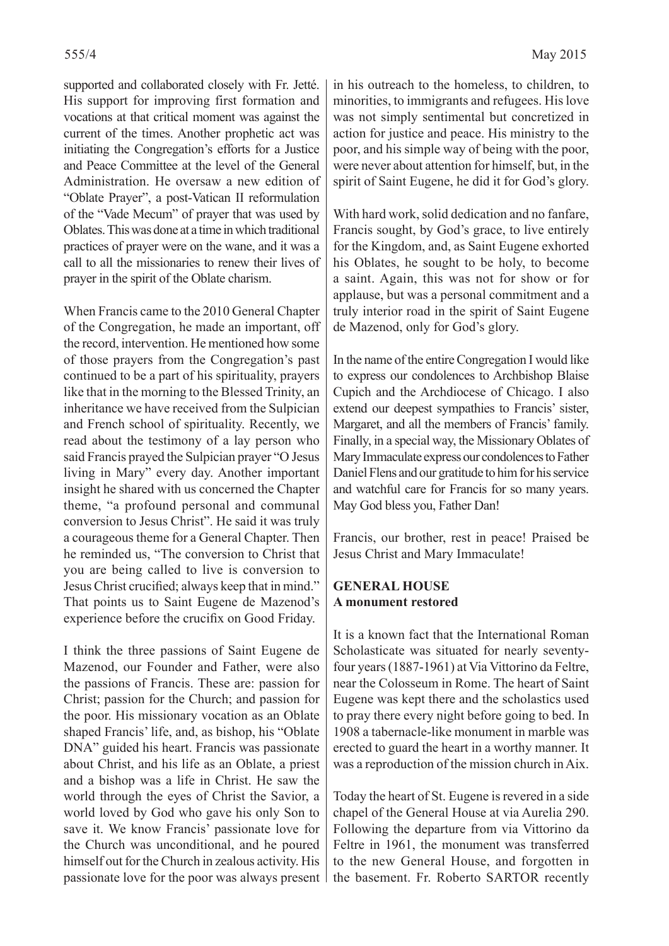supported and collaborated closely with Fr. Jetté. His support for improving first formation and vocations at that critical moment was against the current of the times. Another prophetic act was initiating the Congregation's efforts for a Justice and Peace Committee at the level of the General Administration. He oversaw a new edition of "Oblate Prayer", a post-Vatican II reformulation of the "Vade Mecum" of prayer that was used by Oblates. This was done at a time in which traditional practices of prayer were on the wane, and it was a call to all the missionaries to renew their lives of prayer in the spirit of the Oblate charism.

When Francis came to the 2010 General Chapter of the Congregation, he made an important, off the record, intervention. He mentioned how some of those prayers from the Congregation's past continued to be a part of his spirituality, prayers like that in the morning to the Blessed Trinity, an inheritance we have received from the Sulpician and French school of spirituality. Recently, we read about the testimony of a lay person who said Francis prayed the Sulpician prayer "O Jesus living in Mary" every day. Another important insight he shared with us concerned the Chapter theme, "a profound personal and communal conversion to Jesus Christ". He said it was truly a courageous theme for a General Chapter. Then he reminded us, "The conversion to Christ that you are being called to live is conversion to Jesus Christ crucified; always keep that in mind." That points us to Saint Eugene de Mazenod's experience before the crucifix on Good Friday.

I think the three passions of Saint Eugene de Mazenod, our Founder and Father, were also the passions of Francis. These are: passion for Christ; passion for the Church; and passion for the poor. His missionary vocation as an Oblate shaped Francis' life, and, as bishop, his "Oblate DNA" guided his heart. Francis was passionate about Christ, and his life as an Oblate, a priest and a bishop was a life in Christ. He saw the world through the eyes of Christ the Savior, a world loved by God who gave his only Son to save it. We know Francis' passionate love for the Church was unconditional, and he poured himself out for the Church in zealous activity. His passionate love for the poor was always present in his outreach to the homeless, to children, to minorities, to immigrants and refugees. His love was not simply sentimental but concretized in action for justice and peace. His ministry to the poor, and his simple way of being with the poor, were never about attention for himself, but, in the spirit of Saint Eugene, he did it for God's glory.

With hard work, solid dedication and no fanfare, Francis sought, by God's grace, to live entirely for the Kingdom, and, as Saint Eugene exhorted his Oblates, he sought to be holy, to become a saint. Again, this was not for show or for applause, but was a personal commitment and a truly interior road in the spirit of Saint Eugene de Mazenod, only for God's glory.

In the name of the entire Congregation I would like to express our condolences to Archbishop Blaise Cupich and the Archdiocese of Chicago. I also extend our deepest sympathies to Francis' sister, Margaret, and all the members of Francis' family. Finally, in a special way, the Missionary Oblates of Mary Immaculate express our condolences to Father Daniel Flens and our gratitude to him for his service and watchful care for Francis for so many years. May God bless you, Father Dan!

Francis, our brother, rest in peace! Praised be Jesus Christ and Mary Immaculate!

#### **GENERAL HOUSE A monument restored**

It is a known fact that the International Roman Scholasticate was situated for nearly seventyfour years (1887-1961) at Via Vittorino da Feltre, near the Colosseum in Rome. The heart of Saint Eugene was kept there and the scholastics used to pray there every night before going to bed. In 1908 a tabernacle-like monument in marble was erected to guard the heart in a worthy manner. It was a reproduction of the mission church in Aix.

Today the heart of St. Eugene is revered in a side chapel of the General House at via Aurelia 290. Following the departure from via Vittorino da Feltre in 1961, the monument was transferred to the new General House, and forgotten in the basement. Fr. Roberto SARTOR recently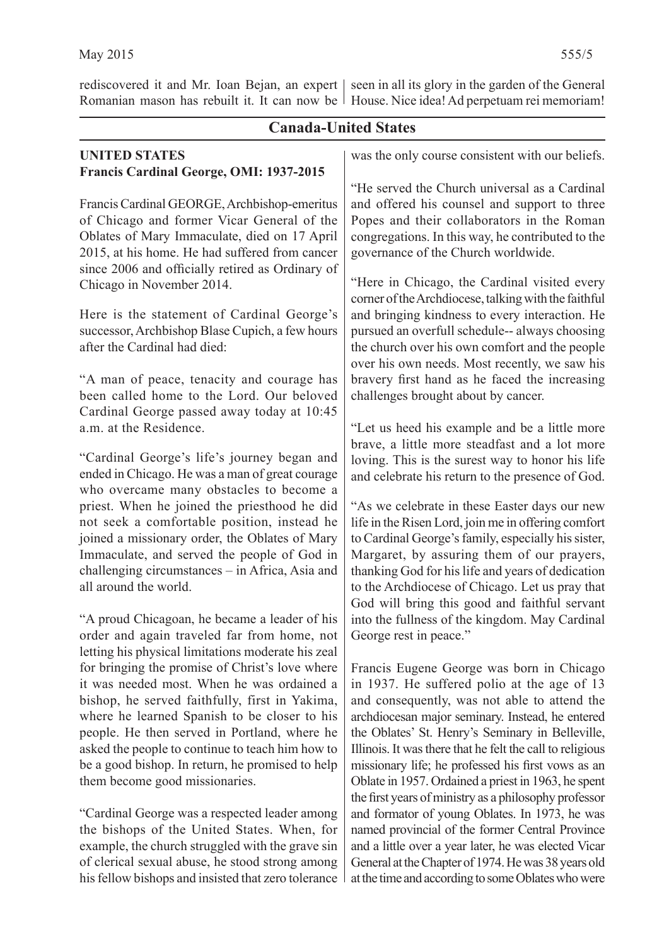rediscovered it and Mr. Ioan Bejan, an expert | seen in all its glory in the garden of the General Romanian mason has rebuilt it. It can now be | House. Nice idea! Ad perpetuam rei memoriam!

#### **Canada-United States UNITED STATES Francis Cardinal George, OMI: 1937-2015** Francis Cardinal GEORGE, Archbishop-emeritus of Chicago and former Vicar General of the Oblates of Mary Immaculate, died on 17 April 2015, at his home. He had suffered from cancer since 2006 and officially retired as Ordinary of Chicago in November 2014. Here is the statement of Cardinal George's successor, Archbishop Blase Cupich, a few hours after the Cardinal had died: "A man of peace, tenacity and courage has been called home to the Lord. Our beloved Cardinal George passed away today at 10:45 a.m. at the Residence. "Cardinal George's life's journey began and ended in Chicago. He was a man of great courage who overcame many obstacles to become a priest. When he joined the priesthood he did not seek a comfortable position, instead he joined a missionary order, the Oblates of Mary Immaculate, and served the people of God in challenging circumstances – in Africa, Asia and all around the world. "A proud Chicagoan, he became a leader of his order and again traveled far from home, not letting his physical limitations moderate his zeal for bringing the promise of Christ's love where it was needed most. When he was ordained a bishop, he served faithfully, first in Yakima, where he learned Spanish to be closer to his people. He then served in Portland, where he asked the people to continue to teach him how to be a good bishop. In return, he promised to help them become good missionaries. "Cardinal George was a respected leader among was the only course consistent with our beliefs. and offered his counsel and support to three congregations. In this way, he contributed to the governance of the Church worldwide. challenges brought about by cancer. loving. This is the surest way to honor his life and celebrate his return to the presence of God. George rest in peace." Francis Eugene George was born in Chicago in 1937. He suffered polio at the age of 13 the first years of ministry as a philosophy professor

the bishops of the United States. When, for example, the church struggled with the grave sin of clerical sexual abuse, he stood strong among his fellow bishops and insisted that zero tolerance

"He served the Church universal as a Cardinal Popes and their collaborators in the Roman

"Here in Chicago, the Cardinal visited every corner of the Archdiocese, talking with the faithful and bringing kindness to every interaction. He pursued an overfull schedule-- always choosing the church over his own comfort and the people over his own needs. Most recently, we saw his bravery first hand as he faced the increasing

"Let us heed his example and be a little more brave, a little more steadfast and a lot more

"As we celebrate in these Easter days our new life in the Risen Lord, join me in offering comfort to Cardinal George's family, especially his sister, Margaret, by assuring them of our prayers, thanking God for his life and years of dedication to the Archdiocese of Chicago. Let us pray that God will bring this good and faithful servant into the fullness of the kingdom. May Cardinal

and consequently, was not able to attend the archdiocesan major seminary. Instead, he entered the Oblates' St. Henry's Seminary in Belleville, Illinois. It was there that he felt the call to religious missionary life; he professed his first vows as an Oblate in 1957. Ordained a priest in 1963, he spent and formator of young Oblates. In 1973, he was named provincial of the former Central Province and a little over a year later, he was elected Vicar General at the Chapter of 1974. He was 38 years old at the time and according to some Oblates who were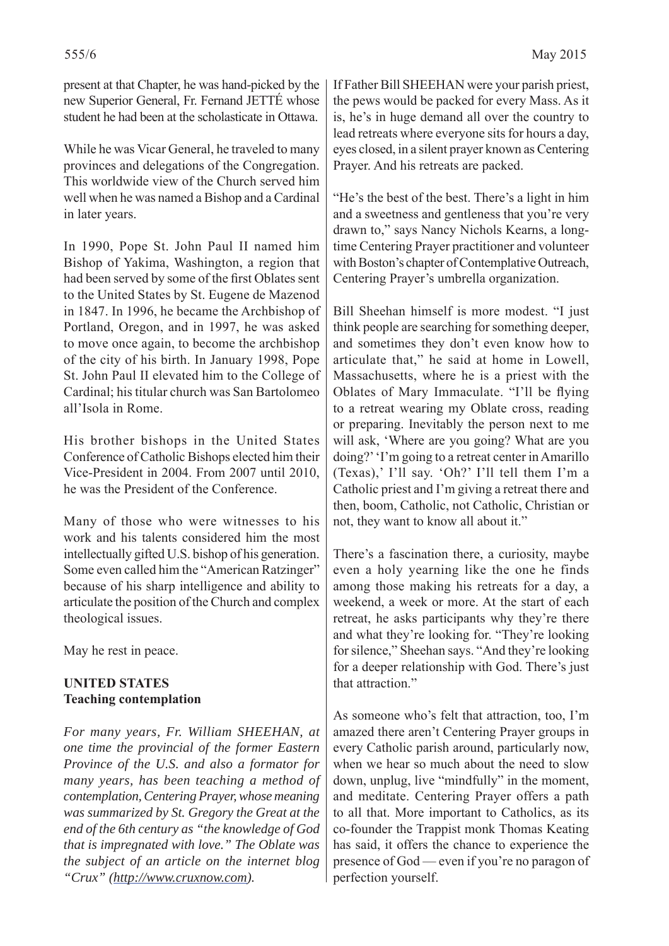present at that Chapter, he was hand-picked by the new Superior General, Fr. Fernand JETTÉ whose student he had been at the scholasticate in Ottawa.

While he was Vicar General, he traveled to many provinces and delegations of the Congregation. This worldwide view of the Church served him well when he was named a Bishop and a Cardinal in later years.

In 1990, Pope St. John Paul II named him Bishop of Yakima, Washington, a region that had been served by some of the first Oblates sent to the United States by St. Eugene de Mazenod in 1847. In 1996, he became the Archbishop of Portland, Oregon, and in 1997, he was asked to move once again, to become the archbishop of the city of his birth. In January 1998, Pope St. John Paul II elevated him to the College of Cardinal; his titular church was San Bartolomeo all'Isola in Rome.

His brother bishops in the United States Conference of Catholic Bishops elected him their Vice-President in 2004. From 2007 until 2010, he was the President of the Conference.

Many of those who were witnesses to his work and his talents considered him the most intellectually gifted U.S. bishop of his generation. Some even called him the "American Ratzinger" because of his sharp intelligence and ability to articulate the position of the Church and complex theological issues.

May he rest in peace.

## **UNITED STATES Teaching contemplation**

*For many years, Fr. William SHEEHAN, at one time the provincial of the former Eastern Province of the U.S. and also a formator for many years, has been teaching a method of contemplation, Centering Prayer, whose meaning was summarized by St. Gregory the Great at the end of the 6th century as "the knowledge of God that is impregnated with love." The Oblate was the subject of an article on the internet blog "Crux" (http://www.cruxnow.com).* 

If Father Bill SHEEHAN were your parish priest, the pews would be packed for every Mass. As it is, he's in huge demand all over the country to lead retreats where everyone sits for hours a day, eyes closed, in a silent prayer known as Centering Prayer. And his retreats are packed.

"He's the best of the best. There's a light in him and a sweetness and gentleness that you're very drawn to," says Nancy Nichols Kearns, a longtime Centering Prayer practitioner and volunteer with Boston's chapter of Contemplative Outreach, Centering Prayer's umbrella organization.

Bill Sheehan himself is more modest. "I just think people are searching for something deeper, and sometimes they don't even know how to articulate that," he said at home in Lowell, Massachusetts, where he is a priest with the Oblates of Mary Immaculate. "I'll be flying to a retreat wearing my Oblate cross, reading or preparing. Inevitably the person next to me will ask, 'Where are you going? What are you doing?' 'I'm going to a retreat center in Amarillo (Texas),' I'll say. 'Oh?' I'll tell them I'm a Catholic priest and I'm giving a retreat there and then, boom, Catholic, not Catholic, Christian or not, they want to know all about it."

There's a fascination there, a curiosity, maybe even a holy yearning like the one he finds among those making his retreats for a day, a weekend, a week or more. At the start of each retreat, he asks participants why they're there and what they're looking for. "They're looking for silence," Sheehan says. "And they're looking for a deeper relationship with God. There's just that attraction."

As someone who's felt that attraction, too, I'm amazed there aren't Centering Prayer groups in every Catholic parish around, particularly now, when we hear so much about the need to slow down, unplug, live "mindfully" in the moment, and meditate. Centering Prayer offers a path to all that. More important to Catholics, as its co-founder the Trappist monk Thomas Keating has said, it offers the chance to experience the presence of God — even if you're no paragon of perfection yourself.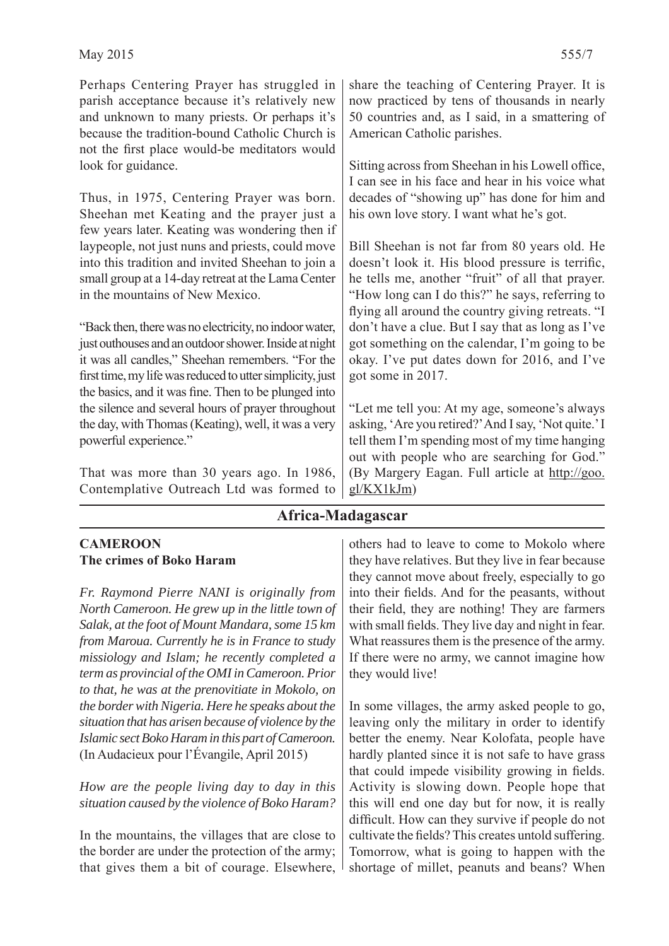Perhaps Centering Prayer has struggled in parish acceptance because it's relatively new and unknown to many priests. Or perhaps it's because the tradition-bound Catholic Church is not the first place would-be meditators would look for guidance.

Thus, in 1975, Centering Prayer was born. Sheehan met Keating and the prayer just a few years later. Keating was wondering then if laypeople, not just nuns and priests, could move into this tradition and invited Sheehan to join a small group at a 14-day retreat at the Lama Center in the mountains of New Mexico.

"Back then, there was no electricity, no indoor water, just outhouses and an outdoor shower. Inside at night it was all candles," Sheehan remembers. "For the first time, my life was reduced to utter simplicity, just the basics, and it was fine. Then to be plunged into the silence and several hours of prayer throughout the day, with Thomas (Keating), well, it was a very powerful experience."

That was more than 30 years ago. In 1986, Contemplative Outreach Ltd was formed to share the teaching of Centering Prayer. It is now practiced by tens of thousands in nearly 50 countries and, as I said, in a smattering of American Catholic parishes.

Sitting across from Sheehan in his Lowell office, I can see in his face and hear in his voice what decades of "showing up" has done for him and his own love story. I want what he's got.

Bill Sheehan is not far from 80 years old. He doesn't look it. His blood pressure is terrific, he tells me, another "fruit" of all that prayer. "How long can I do this?" he says, referring to flying all around the country giving retreats. "I don't have a clue. But I say that as long as I've got something on the calendar, I'm going to be okay. I've put dates down for 2016, and I've got some in 2017.

"Let me tell you: At my age, someone's always asking, 'Are you retired?' And I say, 'Not quite.' I tell them I'm spending most of my time hanging out with people who are searching for God." (By Margery Eagan. Full article at http://goo. gl/KX1kJm)

## **Africa-Madagascar**

#### **CAMEROON The crimes of Boko Haram**

*Fr. Raymond Pierre NANI is originally from North Cameroon. He grew up in the little town of Salak, at the foot of Mount Mandara, some 15 km from Maroua. Currently he is in France to study missiology and Islam; he recently completed a term as provincial of the OMI in Cameroon. Prior to that, he was at the prenovitiate in Mokolo, on the border with Nigeria. Here he speaks about the situation that has arisen because of violence by the Islamic sect Boko Haram in this part of Cameroon.* (In Audacieux pour l'Évangile, April 2015)

*How are the people living day to day in this situation caused by the violence of Boko Haram?*

In the mountains, the villages that are close to the border are under the protection of the army; that gives them a bit of courage. Elsewhere,

others had to leave to come to Mokolo where they have relatives. But they live in fear because they cannot move about freely, especially to go into their fields. And for the peasants, without their field, they are nothing! They are farmers with small fields. They live day and night in fear. What reassures them is the presence of the army. If there were no army, we cannot imagine how they would live!

In some villages, the army asked people to go, leaving only the military in order to identify better the enemy. Near Kolofata, people have hardly planted since it is not safe to have grass that could impede visibility growing in fields. Activity is slowing down. People hope that this will end one day but for now, it is really difficult. How can they survive if people do not cultivate the fields? This creates untold suffering. Tomorrow, what is going to happen with the shortage of millet, peanuts and beans? When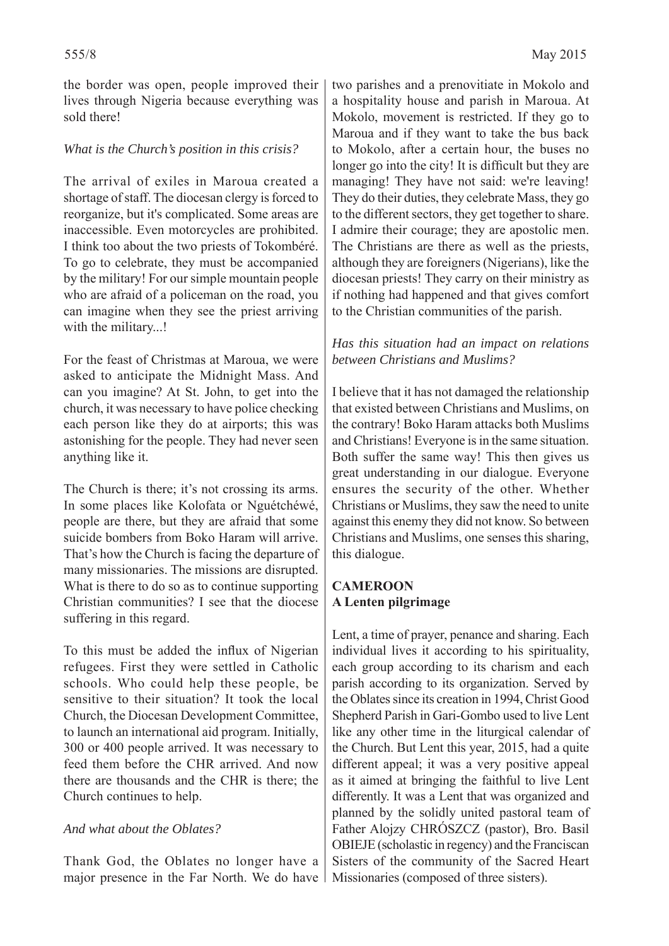the border was open, people improved their lives through Nigeria because everything was sold there!

### *What is the Church's position in this crisis?*

The arrival of exiles in Maroua created a shortage of staff. The diocesan clergy is forced to reorganize, but it's complicated. Some areas are inaccessible. Even motorcycles are prohibited. I think too about the two priests of Tokombéré. To go to celebrate, they must be accompanied by the military! For our simple mountain people who are afraid of a policeman on the road, you can imagine when they see the priest arriving with the military...!

For the feast of Christmas at Maroua, we were asked to anticipate the Midnight Mass. And can you imagine? At St. John, to get into the church, it was necessary to have police checking each person like they do at airports; this was astonishing for the people. They had never seen anything like it.

The Church is there; it's not crossing its arms. In some places like Kolofata or Nguétchéwé, people are there, but they are afraid that some suicide bombers from Boko Haram will arrive. That's how the Church is facing the departure of many missionaries. The missions are disrupted. What is there to do so as to continue supporting Christian communities? I see that the diocese suffering in this regard.

To this must be added the influx of Nigerian refugees. First they were settled in Catholic schools. Who could help these people, be sensitive to their situation? It took the local Church, the Diocesan Development Committee, to launch an international aid program. Initially, 300 or 400 people arrived. It was necessary to feed them before the CHR arrived. And now there are thousands and the CHR is there; the Church continues to help.

#### *And what about the Oblates?*

Thank God, the Oblates no longer have a major presence in the Far North. We do have

two parishes and a prenovitiate in Mokolo and a hospitality house and parish in Maroua. At Mokolo, movement is restricted. If they go to Maroua and if they want to take the bus back to Mokolo, after a certain hour, the buses no longer go into the city! It is difficult but they are managing! They have not said: we're leaving! They do their duties, they celebrate Mass, they go to the different sectors, they get together to share. I admire their courage; they are apostolic men. The Christians are there as well as the priests, although they are foreigners (Nigerians), like the diocesan priests! They carry on their ministry as if nothing had happened and that gives comfort to the Christian communities of the parish.

#### *Has this situation had an impact on relations between Christians and Muslims?*

I believe that it has not damaged the relationship that existed between Christians and Muslims, on the contrary! Boko Haram attacks both Muslims and Christians! Everyone is in the same situation. Both suffer the same way! This then gives us great understanding in our dialogue. Everyone ensures the security of the other. Whether Christians or Muslims, they saw the need to unite against this enemy they did not know. So between Christians and Muslims, one senses this sharing, this dialogue.

### **CAMEROON A Lenten pilgrimage**

Lent, a time of prayer, penance and sharing. Each individual lives it according to his spirituality, each group according to its charism and each parish according to its organization. Served by the Oblates since its creation in 1994, Christ Good Shepherd Parish in Gari-Gombo used to live Lent like any other time in the liturgical calendar of the Church. But Lent this year, 2015, had a quite different appeal; it was a very positive appeal as it aimed at bringing the faithful to live Lent differently. It was a Lent that was organized and planned by the solidly united pastoral team of Father Alojzy CHRÓSZCZ (pastor), Bro. Basil OBIEJE (scholastic in regency) and the Franciscan Sisters of the community of the Sacred Heart Missionaries (composed of three sisters).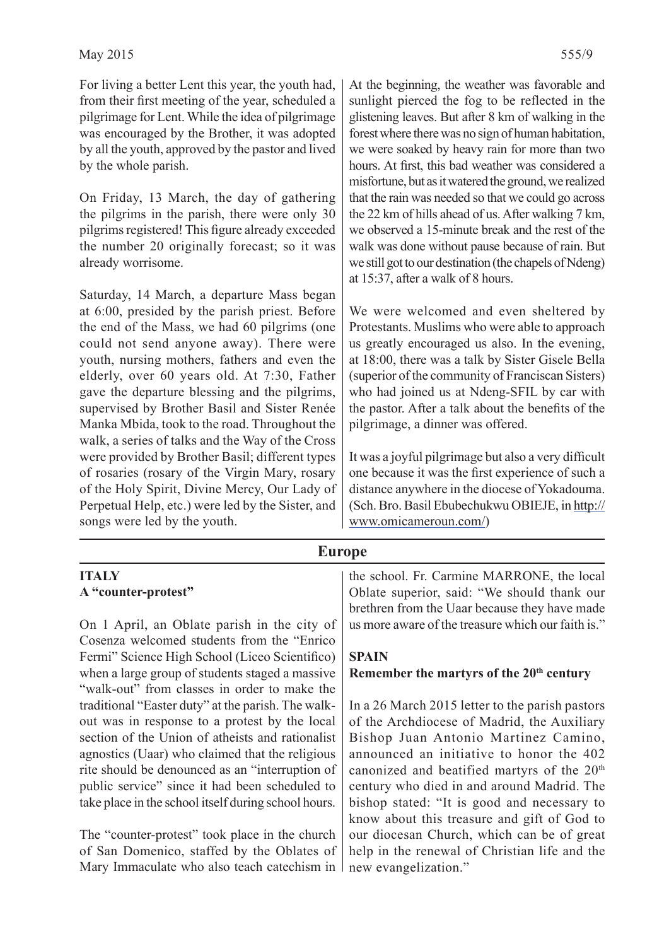For living a better Lent this year, the youth had, from their first meeting of the year, scheduled a pilgrimage for Lent. While the idea of pilgrimage was encouraged by the Brother, it was adopted by all the youth, approved by the pastor and lived by the whole parish.

On Friday, 13 March, the day of gathering the pilgrims in the parish, there were only 30 pilgrims registered! This figure already exceeded the number 20 originally forecast; so it was already worrisome.

Saturday, 14 March, a departure Mass began at 6:00, presided by the parish priest. Before the end of the Mass, we had 60 pilgrims (one could not send anyone away). There were youth, nursing mothers, fathers and even the elderly, over 60 years old. At 7:30, Father gave the departure blessing and the pilgrims, supervised by Brother Basil and Sister Renée Manka Mbida, took to the road. Throughout the walk, a series of talks and the Way of the Cross were provided by Brother Basil; different types of rosaries (rosary of the Virgin Mary, rosary of the Holy Spirit, Divine Mercy, Our Lady of Perpetual Help, etc.) were led by the Sister, and songs were led by the youth.

At the beginning, the weather was favorable and sunlight pierced the fog to be reflected in the glistening leaves. But after 8 km of walking in the forest where there was no sign of human habitation, we were soaked by heavy rain for more than two hours. At first, this bad weather was considered a misfortune, but as it watered the ground, we realized that the rain was needed so that we could go across the 22 km of hills ahead of us. After walking 7 km, we observed a 15-minute break and the rest of the walk was done without pause because of rain. But we still got to our destination (the chapels of Ndeng) at 15:37, after a walk of 8 hours.

We were welcomed and even sheltered by Protestants. Muslims who were able to approach us greatly encouraged us also. In the evening, at 18:00, there was a talk by Sister Gisele Bella (superior of the community of Franciscan Sisters) who had joined us at Ndeng-SFIL by car with the pastor. After a talk about the benefits of the pilgrimage, a dinner was offered.

It was a joyful pilgrimage but also a very difficult one because it was the first experience of such a distance anywhere in the diocese of Yokadouma. (Sch. Bro. Basil Ebubechukwu OBIEJE, in http:// www.omicameroun.com/)

#### **Europe**

#### **ITALY A "counter-protest"**

On 1 April, an Oblate parish in the city of Cosenza welcomed students from the "Enrico Fermi" Science High School (Liceo Scientifico) when a large group of students staged a massive "walk-out" from classes in order to make the traditional "Easter duty" at the parish. The walkout was in response to a protest by the local section of the Union of atheists and rationalist agnostics (Uaar) who claimed that the religious rite should be denounced as an "interruption of public service" since it had been scheduled to take place in the school itself during school hours.

The "counter-protest" took place in the church of San Domenico, staffed by the Oblates of Mary Immaculate who also teach catechism in the school. Fr. Carmine MARRONE, the local Oblate superior, said: "We should thank our brethren from the Uaar because they have made us more aware of the treasure which our faith is."

#### **SPAIN**

#### Remember the martyrs of the 20<sup>th</sup> century

In a 26 March 2015 letter to the parish pastors of the Archdiocese of Madrid, the Auxiliary Bishop Juan Antonio Martinez Camino, announced an initiative to honor the 402 canonized and beatified martyrs of the 20<sup>th</sup> century who died in and around Madrid. The bishop stated: "It is good and necessary to know about this treasure and gift of God to our diocesan Church, which can be of great help in the renewal of Christian life and the new evangelization."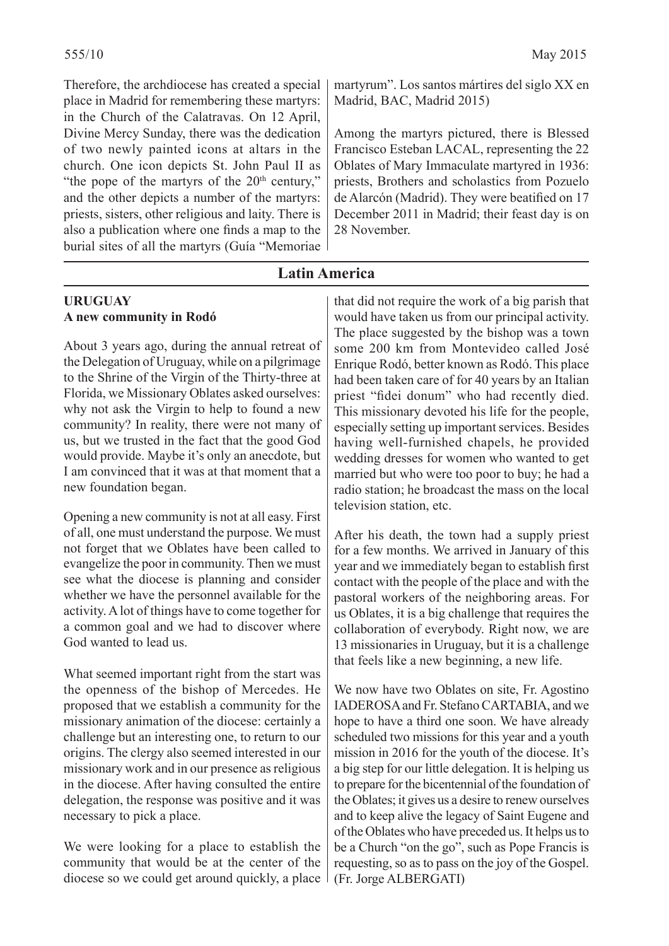Therefore, the archdiocese has created a special place in Madrid for remembering these martyrs: in the Church of the Calatravas. On 12 April, Divine Mercy Sunday, there was the dedication of two newly painted icons at altars in the church. One icon depicts St. John Paul II as "the pope of the martyrs of the  $20<sup>th</sup>$  century," and the other depicts a number of the martyrs: priests, sisters, other religious and laity. There is also a publication where one finds a map to the burial sites of all the martyrs (Guía "Memoriae martyrum". Los santos mártires del siglo XX en Madrid, BAC, Madrid 2015)

Among the martyrs pictured, there is Blessed Francisco Esteban LACAL, representing the 22 Oblates of Mary Immaculate martyred in 1936: priests, Brothers and scholastics from Pozuelo de Alarcón (Madrid). They were beatified on 17 December 2011 in Madrid; their feast day is on 28 November.

## **Latin America**

#### **URUGUAY A new community in Rodó**

About 3 years ago, during the annual retreat of the Delegation of Uruguay, while on a pilgrimage to the Shrine of the Virgin of the Thirty-three at Florida, we Missionary Oblates asked ourselves: why not ask the Virgin to help to found a new community? In reality, there were not many of us, but we trusted in the fact that the good God would provide. Maybe it's only an anecdote, but I am convinced that it was at that moment that a new foundation began.

Opening a new community is not at all easy. First of all, one must understand the purpose. We must not forget that we Oblates have been called to evangelize the poor in community. Then we must see what the diocese is planning and consider whether we have the personnel available for the activity. A lot of things have to come together for a common goal and we had to discover where God wanted to lead us.

What seemed important right from the start was the openness of the bishop of Mercedes. He proposed that we establish a community for the missionary animation of the diocese: certainly a challenge but an interesting one, to return to our origins. The clergy also seemed interested in our missionary work and in our presence as religious in the diocese. After having consulted the entire delegation, the response was positive and it was necessary to pick a place.

We were looking for a place to establish the community that would be at the center of the diocese so we could get around quickly, a place

that did not require the work of a big parish that would have taken us from our principal activity. The place suggested by the bishop was a town some 200 km from Montevideo called José Enrique Rodó, better known as Rodó. This place had been taken care of for 40 years by an Italian priest "fidei donum" who had recently died. This missionary devoted his life for the people, especially setting up important services. Besides having well-furnished chapels, he provided wedding dresses for women who wanted to get married but who were too poor to buy; he had a radio station; he broadcast the mass on the local television station, etc.

After his death, the town had a supply priest for a few months. We arrived in January of this year and we immediately began to establish first contact with the people of the place and with the pastoral workers of the neighboring areas. For us Oblates, it is a big challenge that requires the collaboration of everybody. Right now, we are 13 missionaries in Uruguay, but it is a challenge that feels like a new beginning, a new life.

We now have two Oblates on site, Fr. Agostino IADEROSA and Fr. Stefano CARTABIA, and we hope to have a third one soon. We have already scheduled two missions for this year and a youth mission in 2016 for the youth of the diocese. It's a big step for our little delegation. It is helping us to prepare for the bicentennial of the foundation of the Oblates; it gives us a desire to renew ourselves and to keep alive the legacy of Saint Eugene and of the Oblates who have preceded us. It helps us to be a Church "on the go", such as Pope Francis is requesting, so as to pass on the joy of the Gospel. (Fr. Jorge ALBERGATI)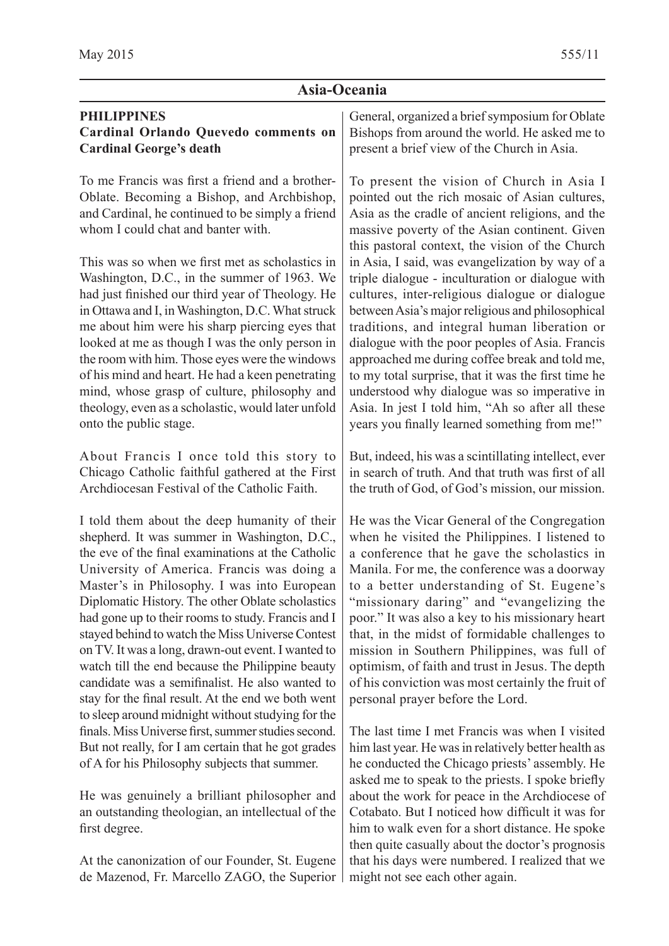### **Asia-Oceania**

## **PHILIPPINES**

#### **Cardinal Orlando Quevedo comments on Cardinal George's death**

To me Francis was first a friend and a brother-Oblate. Becoming a Bishop, and Archbishop, and Cardinal, he continued to be simply a friend whom I could chat and banter with.

This was so when we first met as scholastics in Washington, D.C., in the summer of 1963. We had just finished our third year of Theology. He in Ottawa and I, in Washington, D.C. What struck me about him were his sharp piercing eyes that looked at me as though I was the only person in the room with him. Those eyes were the windows of his mind and heart. He had a keen penetrating mind, whose grasp of culture, philosophy and theology, even as a scholastic, would later unfold onto the public stage.

About Francis I once told this story to Chicago Catholic faithful gathered at the First Archdiocesan Festival of the Catholic Faith.

I told them about the deep humanity of their shepherd. It was summer in Washington, D.C., the eve of the final examinations at the Catholic University of America. Francis was doing a Master's in Philosophy. I was into European Diplomatic History. The other Oblate scholastics had gone up to their rooms to study. Francis and I stayed behind to watch the Miss Universe Contest on TV. It was a long, drawn-out event. I wanted to watch till the end because the Philippine beauty candidate was a semifinalist. He also wanted to stay for the final result. At the end we both went to sleep around midnight without studying for the finals. Miss Universe first, summer studies second. But not really, for I am certain that he got grades of A for his Philosophy subjects that summer.

He was genuinely a brilliant philosopher and an outstanding theologian, an intellectual of the first degree.

At the canonization of our Founder, St. Eugene de Mazenod, Fr. Marcello ZAGO, the Superior General, organized a brief symposium for Oblate Bishops from around the world. He asked me to present a brief view of the Church in Asia.

To present the vision of Church in Asia I pointed out the rich mosaic of Asian cultures, Asia as the cradle of ancient religions, and the massive poverty of the Asian continent. Given this pastoral context, the vision of the Church in Asia, I said, was evangelization by way of a triple dialogue - inculturation or dialogue with cultures, inter-religious dialogue or dialogue between Asia's major religious and philosophical traditions, and integral human liberation or dialogue with the poor peoples of Asia. Francis approached me during coffee break and told me, to my total surprise, that it was the first time he understood why dialogue was so imperative in Asia. In jest I told him, "Ah so after all these years you finally learned something from me!"

But, indeed, his was a scintillating intellect, ever in search of truth. And that truth was first of all the truth of God, of God's mission, our mission.

He was the Vicar General of the Congregation when he visited the Philippines. I listened to a conference that he gave the scholastics in Manila. For me, the conference was a doorway to a better understanding of St. Eugene's "missionary daring" and "evangelizing the poor." It was also a key to his missionary heart that, in the midst of formidable challenges to mission in Southern Philippines, was full of optimism, of faith and trust in Jesus. The depth of his conviction was most certainly the fruit of personal prayer before the Lord.

The last time I met Francis was when I visited him last year. He was in relatively better health as he conducted the Chicago priests' assembly. He asked me to speak to the priests. I spoke briefly about the work for peace in the Archdiocese of Cotabato. But I noticed how difficult it was for him to walk even for a short distance. He spoke then quite casually about the doctor's prognosis that his days were numbered. I realized that we might not see each other again.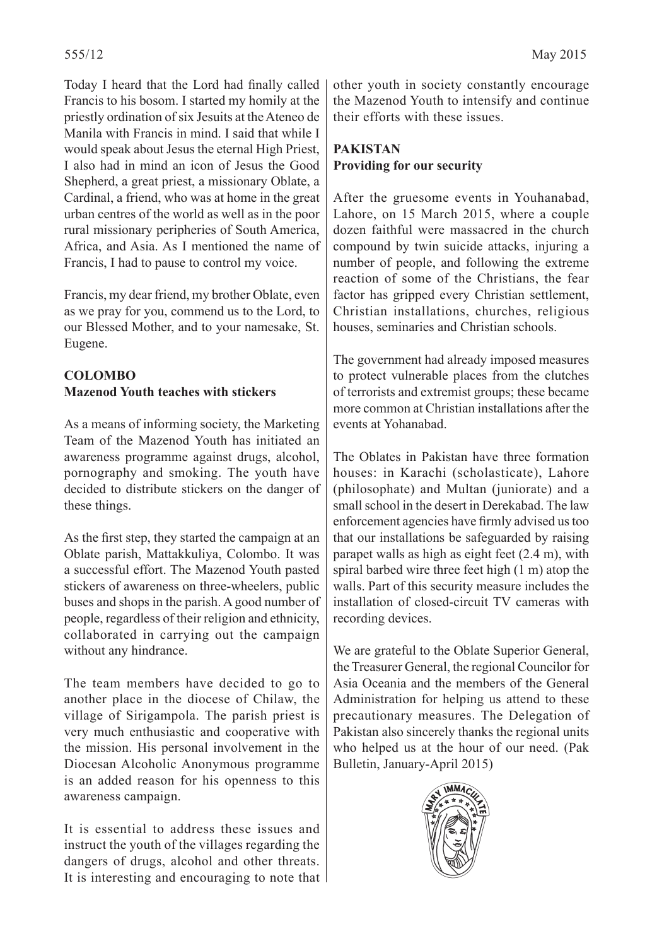Today I heard that the Lord had finally called Francis to his bosom. I started my homily at the priestly ordination of six Jesuits at the Ateneo de Manila with Francis in mind. I said that while I would speak about Jesus the eternal High Priest, I also had in mind an icon of Jesus the Good Shepherd, a great priest, a missionary Oblate, a Cardinal, a friend, who was at home in the great urban centres of the world as well as in the poor rural missionary peripheries of South America, Africa, and Asia. As I mentioned the name of Francis, I had to pause to control my voice.

Francis, my dear friend, my brother Oblate, even as we pray for you, commend us to the Lord, to our Blessed Mother, and to your namesake, St. Eugene.

## **COLOMBO Mazenod Youth teaches with stickers**

As a means of informing society, the Marketing Team of the Mazenod Youth has initiated an awareness programme against drugs, alcohol, pornography and smoking. The youth have decided to distribute stickers on the danger of these things.

As the first step, they started the campaign at an Oblate parish, Mattakkuliya, Colombo. It was a successful effort. The Mazenod Youth pasted stickers of awareness on three-wheelers, public buses and shops in the parish. A good number of people, regardless of their religion and ethnicity, collaborated in carrying out the campaign without any hindrance.

The team members have decided to go to another place in the diocese of Chilaw, the village of Sirigampola. The parish priest is very much enthusiastic and cooperative with the mission. His personal involvement in the Diocesan Alcoholic Anonymous programme is an added reason for his openness to this awareness campaign.

It is essential to address these issues and instruct the youth of the villages regarding the dangers of drugs, alcohol and other threats. It is interesting and encouraging to note that other youth in society constantly encourage the Mazenod Youth to intensify and continue their efforts with these issues.

## **PAKISTAN Providing for our security**

After the gruesome events in Youhanabad, Lahore, on 15 March 2015, where a couple dozen faithful were massacred in the church compound by twin suicide attacks, injuring a number of people, and following the extreme reaction of some of the Christians, the fear factor has gripped every Christian settlement, Christian installations, churches, religious houses, seminaries and Christian schools.

The government had already imposed measures to protect vulnerable places from the clutches of terrorists and extremist groups; these became more common at Christian installations after the events at Yohanabad.

The Oblates in Pakistan have three formation houses: in Karachi (scholasticate), Lahore (philosophate) and Multan (juniorate) and a small school in the desert in Derekabad. The law enforcement agencies have firmly advised us too that our installations be safeguarded by raising parapet walls as high as eight feet (2.4 m), with spiral barbed wire three feet high (1 m) atop the walls. Part of this security measure includes the installation of closed-circuit TV cameras with recording devices.

We are grateful to the Oblate Superior General, the Treasurer General, the regional Councilor for Asia Oceania and the members of the General Administration for helping us attend to these precautionary measures. The Delegation of Pakistan also sincerely thanks the regional units who helped us at the hour of our need. (Pak Bulletin, January-April 2015)

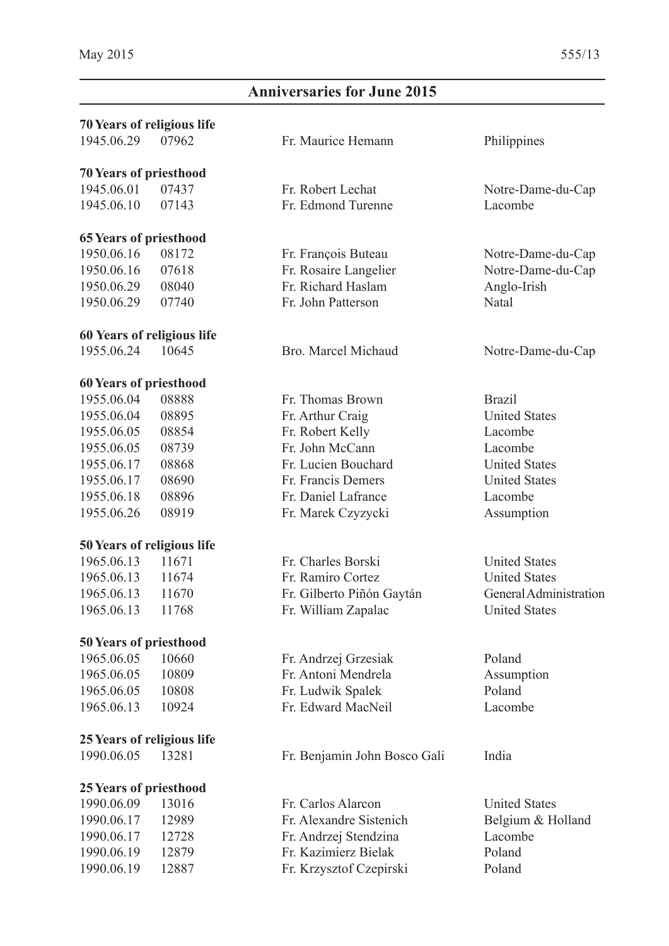# **Anniversaries for June 2015**

| <b>70 Years of religious life</b> |       |                              |                        |  |
|-----------------------------------|-------|------------------------------|------------------------|--|
| 1945.06.29                        | 07962 | Fr. Maurice Hemann           | Philippines            |  |
| <b>70 Years of priesthood</b>     |       |                              |                        |  |
| 1945.06.01                        | 07437 | Fr. Robert Lechat            | Notre-Dame-du-Cap      |  |
| 1945.06.10                        | 07143 | Fr. Edmond Turenne           | Lacombe                |  |
| <b>65 Years of priesthood</b>     |       |                              |                        |  |
| 1950.06.16                        | 08172 | Fr. François Buteau          | Notre-Dame-du-Cap      |  |
| 1950.06.16                        | 07618 | Fr. Rosaire Langelier        | Notre-Dame-du-Cap      |  |
| 1950.06.29                        | 08040 | Fr. Richard Haslam           | Anglo-Irish            |  |
| 1950.06.29                        | 07740 | Fr. John Patterson           | Natal                  |  |
| 60 Years of religious life        |       |                              |                        |  |
| 1955.06.24                        | 10645 | Bro. Marcel Michaud          | Notre-Dame-du-Cap      |  |
| <b>60 Years of priesthood</b>     |       |                              |                        |  |
| 1955.06.04                        | 08888 | Fr. Thomas Brown             | <b>Brazil</b>          |  |
| 1955.06.04                        | 08895 | Fr. Arthur Craig             | <b>United States</b>   |  |
| 1955.06.05                        | 08854 | Fr. Robert Kelly             | Lacombe                |  |
| 1955.06.05                        | 08739 | Fr. John McCann              | Lacombe                |  |
| 1955.06.17                        | 08868 | Fr. Lucien Bouchard          | <b>United States</b>   |  |
| 1955.06.17                        | 08690 | Fr. Francis Demers           | <b>United States</b>   |  |
| 1955.06.18                        | 08896 | Fr. Daniel Lafrance          | Lacombe                |  |
| 1955.06.26                        | 08919 | Fr. Marek Czyzycki           | Assumption             |  |
| 50 Years of religious life        |       |                              |                        |  |
| 1965.06.13                        | 11671 | Fr. Charles Borski           | <b>United States</b>   |  |
| 1965.06.13                        | 11674 | Fr. Ramiro Cortez            | <b>United States</b>   |  |
| 1965.06.13                        | 11670 | Fr. Gilberto Piñón Gaytán    | General Administration |  |
| 1965.06.13                        | 11768 | Fr. William Zapalac          | <b>United States</b>   |  |
| <b>50 Years of priesthood</b>     |       |                              |                        |  |
| 1965.06.05                        | 10660 | Fr. Andrzej Grzesiak         | Poland                 |  |
| 1965.06.05                        | 10809 | Fr. Antoni Mendrela          | Assumption             |  |
| 1965.06.05                        | 10808 | Fr. Ludwik Spalek            | Poland                 |  |
| 1965.06.13                        | 10924 | Fr. Edward MacNeil           | Lacombe                |  |
| 25 Years of religious life        |       |                              |                        |  |
| 1990.06.05                        | 13281 | Fr. Benjamin John Bosco Gali | India                  |  |
| <b>25 Years of priesthood</b>     |       |                              |                        |  |
| 1990.06.09                        | 13016 | Fr. Carlos Alarcon           | <b>United States</b>   |  |
| 1990.06.17                        | 12989 | Fr. Alexandre Sistenich      | Belgium & Holland      |  |
| 1990.06.17                        | 12728 | Fr. Andrzej Stendzina        | Lacombe                |  |
| 1990.06.19                        | 12879 | Fr. Kazimierz Bielak         | Poland                 |  |
| 1990.06.19                        | 12887 | Fr. Krzysztof Czepirski      | Poland                 |  |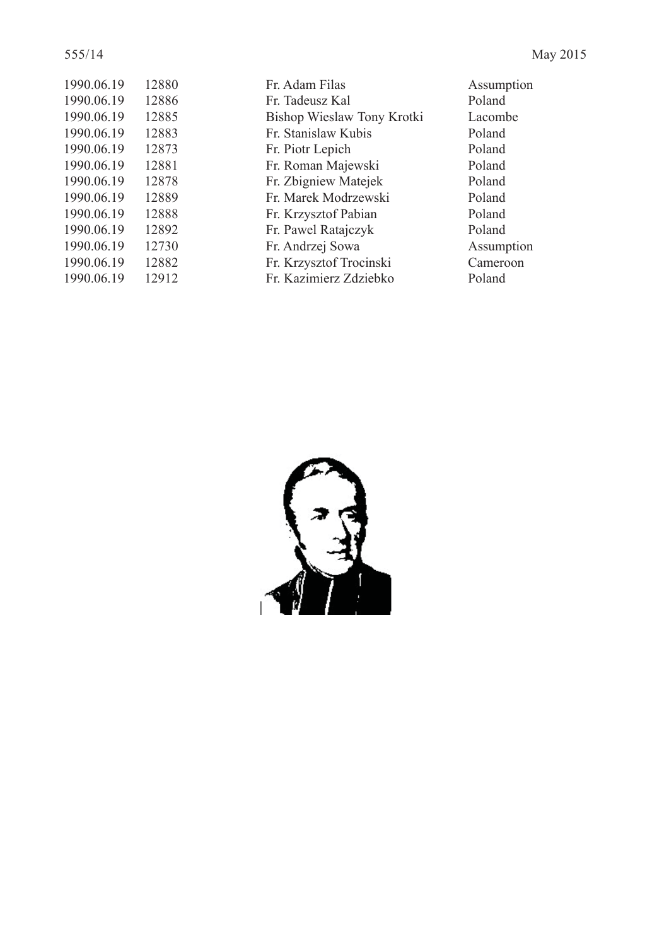| 1990.06.19 | 12880 |
|------------|-------|
| 1990.06.19 | 12886 |
| 1990.06.19 | 12885 |
| 1990.06.19 | 12883 |
| 1990.06.19 | 12873 |
| 1990.06.19 | 12881 |
| 1990.06.19 | 12878 |
| 1990.06.19 | 12889 |
| 1990.06.19 | 12888 |
| 1990.06.19 | 12892 |
| 1990.06.19 | 12730 |
| 1990.06.19 | 12882 |
| 1990.06.19 | 12912 |

Fr. Adam Filas Assumption 1991. Fr. Tadeusz Kal Poland 1990.09 Nieslaw Tony Krotki Lacombe<br>1991.06.19 12886 Er. Stanislaw Kubis Fr. Stanislaw Kubis Fr. Piotr Lepich Poland Fr. Roman Majewski Poland 1990.06.19 12878 Fr. Zbigniew Matejek Poland Fr. Marek Modrzewski Poland Fr. Krzysztof Pabian Poland 1990.06.19 12892 Fr. Pawel Ratajczyk Poland 1990.06.19 12730 Fr. Andrzej Sowa Assumption 1990.06.19 12882 Fr. Krzysztof Trocinski Cameroon 1990.06.19 12912 Fr. Kazimierz Zdziebko Poland